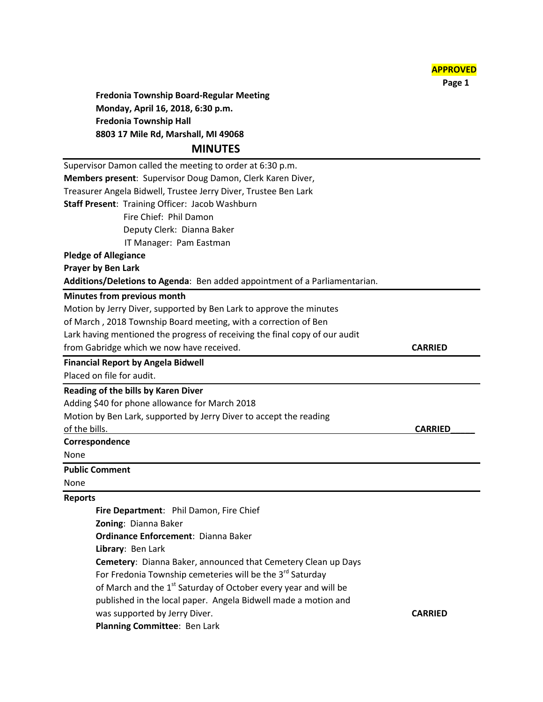

 **Page 1**

**Fredonia Township Board-Regular Meeting Monday, April 16, 2018, 6:30 p.m. Fredonia Township Hall 8803 17 Mile Rd, Marshall, MI 49068**

## **MINUTES**

| Supervisor Damon called the meeting to order at 6:30 p.m.                   |                |
|-----------------------------------------------------------------------------|----------------|
| Members present: Supervisor Doug Damon, Clerk Karen Diver,                  |                |
| Treasurer Angela Bidwell, Trustee Jerry Diver, Trustee Ben Lark             |                |
| Staff Present: Training Officer: Jacob Washburn                             |                |
| Fire Chief: Phil Damon                                                      |                |
| Deputy Clerk: Dianna Baker                                                  |                |
| IT Manager: Pam Eastman                                                     |                |
| <b>Pledge of Allegiance</b>                                                 |                |
| <b>Prayer by Ben Lark</b>                                                   |                |
| Additions/Deletions to Agenda: Ben added appointment of a Parliamentarian.  |                |
| Minutes from previous month                                                 |                |
| Motion by Jerry Diver, supported by Ben Lark to approve the minutes         |                |
| of March, 2018 Township Board meeting, with a correction of Ben             |                |
| Lark having mentioned the progress of receiving the final copy of our audit |                |
| from Gabridge which we now have received.                                   | <b>CARRIED</b> |
| <b>Financial Report by Angela Bidwell</b>                                   |                |
| Placed on file for audit.                                                   |                |
| <b>Reading of the bills by Karen Diver</b>                                  |                |
| Adding \$40 for phone allowance for March 2018                              |                |
| Motion by Ben Lark, supported by Jerry Diver to accept the reading          |                |
| of the bills.                                                               | <b>CARRIED</b> |
| Correspondence                                                              |                |
| None                                                                        |                |
| <b>Public Comment</b>                                                       |                |
| None                                                                        |                |
| <b>Reports</b>                                                              |                |
| Fire Department: Phil Damon, Fire Chief                                     |                |
| Zoning: Dianna Baker                                                        |                |
| <b>Ordinance Enforcement: Dianna Baker</b>                                  |                |
| Library: Ben Lark                                                           |                |
| Cemetery: Dianna Baker, announced that Cemetery Clean up Days               |                |
| For Fredonia Township cemeteries will be the 3 <sup>rd</sup> Saturday       |                |
| of March and the 1 <sup>st</sup> Saturday of October every year and will be |                |
| published in the local paper. Angela Bidwell made a motion and              |                |
| was supported by Jerry Diver.                                               | <b>CARRIED</b> |
| Planning Committee: Ben Lark                                                |                |